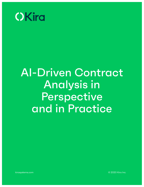

# AI-Driven Contract Analysis in **Perspective** and in Practice

©2020 Kira Inc. 1 kirasystems.com [kirasystems.com](http://kirasystems.com) © 2020 Kira Inc.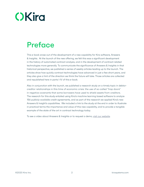# **OKird**

# **Preface**

This e-book arose out of the development of a new capability for Kira software, Answers & Insights. At the launch of the new offering, we felt this was a significant development in the history of automated contract analysis, and in the development of contract-related technologies more generally. To communicate the significance of Answers & Insights in that historical perspective, we published a series of weekly articles leading up to the launch. The articles show how quickly contract technologies have advanced in just a few short years, and they also give a hint of the direction we think the future will take. Those articles are collected and republished here in parts I-IV of this e-book.

Also in conjunction with the launch, we published a research study on a timely topic in debtorcreditor relationships in this time of economic crisis: the use of so-called "trap doors" in negative covenants that some borrowers have used to shield assets from creditors. The research for this study entailed using Kira's machine learning based software to analyze 156 publicly-available credit agreements, and as part of the research we applied Kira's new Answers & Insight's capabilities. We included a link to the study at the end in order to illustrate in practical terms the importance and value of this new capability, and to provide a tangible example of the state of the art in contract technology today.

To see a video about Answers & Insights or to request a demo, [visit our website](https://kirasystems.com/platform/answers/).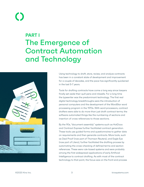## **PART I** The Emergence of Contract Automation and Technology



Using technology to draft, store, review, and analyze contracts has been in a constant state of development and improvement for a couple of decades, and the pace has significantly quickened in the last 5-7 years.

Tools for drafting contracts have come a long way since lawyers finally set aside their quill pens and inkwells. For a long time the typewriter was the predominant technology. The first real digital technology breakthroughs were the introduction of personal computers and the development of the WordStar word processing program in the 1970s. With word processors, contract drafters were able to do more than just draft contract terms; the software automated things like the numbering of sections and insertion of cross references to those sections.

By the 90s, "document assembly" systems such as HotDocs and Contract Express further facilitated contract generation. These tools use guided forms and questionnaires to gather data on requirements and then generate contracts. More tools, such as Deal Proof (now part of Thomson Reuters), and Eagle Eye (now part of Litera), further facilitated the drafting process by automating the cross-checking of defined terms and section references. These were rule-based systems and were probably among the first widespread applications of early Artificial Intelligence to contract drafting. As with most of the contract technology to that point, the focus was on the front-end process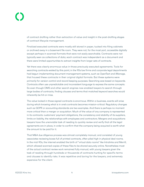of contract drafting rather than extraction of value and insight in the post-drafting stages of contract lifecycle management.

Finalized executed contracts were mostly still stored in paper, tucked into filing cabinets or archived away in a basement file room. They were not, for the most part, accessible digitally except perhaps in scanned formats that were not easily searchable. Contracts were not typically seen as collections of data; each contract was independent as a document and there were limited opportunities to extract insights from larger sets of contracts.

Yet there was clearly enormous value in those previously executed agreements. Tools for searching contracts existed by this point; in the 90s law firms and corporate legal departments had begun implementing document management systems, such as OpenText and iManage, that housed these contracts in their original digital formats. But these systems were primarily for version control and record keeping purposes. Searching was based on keywords. Contracts often use unpredictable and inconsistent language to express the same concepts. So even though DMS and other search engines now enabled lawyers to search through large bodies of contracts, finding clauses and terms that matched keyword searches would inherently be hit-or-miss.

The value locked in those signed contracts is enormous. Within a business, events will arise during which knowing what is in one's contracts becomes mission-critical. Regulatory changes such as GDPR or accounting standards are two examples. And there is perhaps no moment more critical than a merger or acquisition. Much of the value of any company is represented in its contracts: customers' payment obligations, the consistency and stability of its suppliers, limits on liability, the relationships with employees and contractors. Mergers and acquisitions lawyers have the unenviable task of needing to quickly review and verify that all the legal agreements are in place, in order to confirm that the company being acquired is worth what the amount to be paid for it.

That M&A due diligence process was almost completely manual, and consisted of young associates reviewing boxes full of printed contracts, often piled high in physical deal rooms. In the mid-90s, the internet enabled the birth of "virtual data rooms" like Intralinks and Merrill, which allowed scanned copies of these files to be shared securely online. Nonetheless most of the actual contract review work remained fully manual, with young lawyers given the task of reading through hundreds or thousands of contracts hunting for specific terms and clauses to identify risks. It was repetitive and boring for the lawyers, and extremely expensive for the client.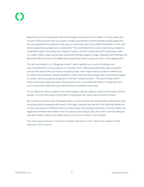Reporting on the findings was also frustratingly manual and incomplete. In many cases the volume of documents was too large to review everything, and the parties would agree that the risk assessment would be made only on contracts over some dollar threshold or that met some subjective guesses as to materiality. This inevitably led to some risks being missed or underestimated. Compiling the results of such a limited review was still a herculean task. For weeks, bleary-eyed associates would pore though page by page, retyping their findings into Microsoft Word charts and tables that would allow them to start to form a risk assessment.

This all culminated in a "diligence memo" which spelled out a set of findings and recommendations to the acquirer in narrative form. While spreadsheets were available around the same time as word processing tools, and might have provided a better tool for data manipulation, lawyers tended to stick with the technology they had already begun to adopt: word processing programs and their tables function. This technology didn't really automate anything about the process, but it provided the ability to organize, sort, and manipulate data that was extracted and collected manually.

It soon became clear, however, that technology could be used to capture the output of that review—to turn the unstructured text in contracts into rows and columns of data.

By the time a critical mass of lawyers were up and running with some basic productivity tools including word processing and search, the legal industry had some of the building blocks for a more accurate and efficient way to create, store, and analyze contracts. Contract data was digitized and there were better tools for search and analysis. But the entire contract lifecycle was still mostly manual and relied heavily on human creation and analysis.

The next leaps forward in contract analysis had yet to come. That's the subject of the next part of this series.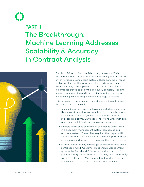# $\begin{pmatrix} 1 \\ 1 \end{pmatrix}$ **PART II** The Breakthrough: Machine Learning Addresses Scalability & Accuracy in Contract Analysis



For about 20 years, from the 90s through the early 2010s, the predominant contract automation technologies were based on keywords, rules and expert systems. These systems all faced problems of scalability. Applying rules to extract meaning from something as complex as the unstructured text found in contracts proved to be brittle and overly complex, requiring heavy human curation and intervention to adjust for changes in underlying law and simply human language variations.

This profusion of human curation and intervention cut across the entire contract lifecycle:

- To speed contract drafting, lawyers created ever-growing libraries of standard forms, complete with manually-curated clause banks and "playbooks" to define the universe of acceptable terms. Only occasionally (and with great pain) were these built into document assembly systems.
- Lawyers might save contracts in deal banks (sometimes in a document management system, sometimes in a separate system). These often required the lawyer to fill out a questionnaire/cover sheet to restate important deep points in a standardized form, to make them findable later.
- In larger corporations, some large businesses stored sales contracts in CRM (Customer Relationship Management) systems like Siebel and Salesforce, vendor contracts in procurement systems like Ariba or Oracle, and occasionally specialized Contract Management systems like Novatus or Selectica. To make all of these searchable it was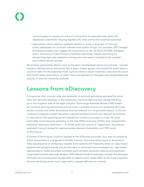commonplace to employ an army of contractors to manually enter data into databases, essentially retyping legalese into deal points that could be searched.

• Specialized online research systems started to make a business of "mining" public databases for contract clauses from public filings. For example, GSI Livedgar employed analysts who tagged all transactions in the US SEC's EDGAR database with a taxonomy of Deal Points to facilitate searching. Deeper searching for clause language was created by having yet more expert analysts build complex pre-crafted search queries.

All of these approaches relied in part on the semi-standardized nature of contracts - clauses, headers, defined terms, schedules. But it was a fragile system and would fall apart when a contract didn't fit the expected mold, such as when a lawyer invented a new deal structure that hadn't been seen before, or when laws and regulations changed and necessitated new queries. It was not inherently scalable.

#### Lessons from eDiscovery

It is peculiar that manual rules and keywords in contract searching persisted for more than two decades because, in the meantime, machine learning was rapidly catching on in the litigation side of the legal industry. Technology-Assisted Review (TAR) based on machine learning techniques proved to be a scalable solution for analyzing the huge stores of email and other documents that are relevant to a large-scale lawsuit. In the US, a phase of litigation called "discovery" requires parties to hand over relevant documents in response to the opposing party's request for evidence to support a case. At some point after email became prevalent in the late 1990s and early 2000s, that necessitated extensive "electronic discovery" – at which point the volume of "responsive" documents exploded; manual review for responsiveness became impossible, and TAR came to the rescue.

A variety of techniques could be applied to the eDiscovery process, as a way of predicting which documents in a large set of emails, memos, and many other types of documents were responsive to an eDiscovery request. Early systems still frequently relied on rules-based systems and complex queries, but as time went on more and more employed non-rules-based approaches to model document concepts (such as latent semantic indexing and eventually supervised machine learning). Modern TAR software tends to leverage a variety of techniques that allow the machine learning algorithm to direct human review effort to the most impactful documents (using some court-approved or agreed definitional criteria).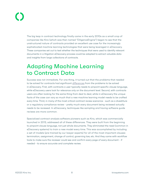The big leap in contract technology finally came in the early 2010s as a small crop of companies like Kira (which was then named "DiligenceEngine") began to see that the unstructured nature of contracts provided an excellent use case for the increasingly sophisticated machine learning technologies that were being leveraged in eDiscovery. These companies set out to test whether the techniques that were used to identify relevant documents in a litigation eDiscovery process could be adapted to extract valuable data and insights from large collections of contracts.

### Adapting Machine Learning to Contract Data

Success was not immediate. For one thing, it turned out that the problems that needed to be solved for contracts had significant [differences](https://kirasystems.com/blog/contract-review-software-buyers-guide-part-15/) from the problems to be solved in eDiscovery. First, with contracts a user typically needs to pinpoint specific clause language, while eDiscovery users look for relevance only on the document level. Second, with contracts users are often looking for the same thing from deal to deal, while in eDiscovery the unique facts of the case can vary so much that a new machine learning model needs to be crafted every time. Third, in many of the most critical contract review scenarios - such as a divestiture or a regulatory compliance review - pretty much every document being reviewed actually needs to be reviewed. In eDiscovery, techniques like sampling and having software guide reviews are more common.

Specialized contract analysis software pioneers such as Kira, which was commercially launched in 2013, addressed all of these differences. They were built from the beginning to pinpoint clause language, not just whole documents. They eliminated the need (common in eDiscovery systems) to train a new model every time. This was accomplished by including a set of models (pre-trained by our lawyer-experts) for all of the most important clauses: termination, assignment, change of control, governing law, etc. And they came with workflow tools to make sure the reviewer could see and confirm every page of every document - if needed - to ensure accurate and complete review.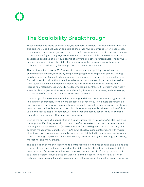### The Scalability Breakthrough

These capabilities made contract analysis software very useful for applications like M&A due diligence. But it still wasn't scalable to the other myriad contract review needs such as general contract management, contract audit, real estate etc., not to mention the need to handle non-English languages and to meet the needs of all the precise variants and specialized expertise of individual teams of lawyers and other professionals. The software needed one more thing – the ability for users to train their own models without any technical machine learning knowledge from the user's perspective.

The turning point came in 2015, when Kira announced a capability that allows that customization, called Quick Study, simply by highlighting examples on screen. The big leap here was that Quick Study allows users to customize their use of machine learning for their specific task, without needing to become machine learning experts themselves. With Quick Study (which may have been the first ever application of what is now increasingly referred to as "AutoML" to documents like contracts) the system was finally [scalable](https://kirasystems.com/blog/what-is-scalable-machine-learning/). Any subject matter expert could employ the machine learning system to apply to their area of expertise - no technical services required.

At this stage of development, machine learning had driven contract technology forward in just a few short years, from a word processing-centric focus on simple drafting tools and document automation, to a much more versatile downstream application that treated contracts as a valuable source of data. Machine learning enabled the extraction of that value and set the stage for both lawyers and other business functions to fully leverage the data in contracts in other business processes.

Even as the core analytic capabilities of Kira have improved in this way, we've also improved the ways that Kira integrates with our customers' other systems, through the development of strong industry partnerships (such as Intralinks for due diligence, and Apttus/Conga for contract management), and by offering APIs, which allow custom integrations with myriad other tools. Data from contracts can be more widely distributed in enterprise systems, where it can be leveraged by various functions including business intelligence, strategy, purchasing, marketing, and many others.

The application of machine learning to contracts was a long time coming and a giant leap forward. It had become the gold standard for high-quality, efficient extraction of insight from contract data. But those technical enhancements are not static. Each application of AI to a legal problem is built on the shoulders of domain experts. That interplay between technical expertise and legal domain expertise is the subject of the next article in this series.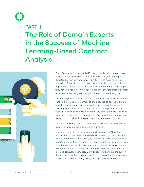# $\begin{pmatrix} 1 \\ 2 \end{pmatrix}$ **PART III** The Role of Domain Experts in the Success of Machine Learning-Based Contract Analysis



For a few years in the late 2010s, legal publications were awash in hype that, with the rise of AI in law, "robot lawyers" were going to threaten human lawyers' jobs. Thankfully, that hype has mostly subsided. As professionals have educated themselves on the capabilities as well as the limitations of the available technology, they have gained a growing appreciation for the role of legal domain expertise in the design and application of any legal AI system.

Domain expertise, on the part of both business professionals and software providers, is central to the success of any application of AI to extract value from contract data. Done right, machine learning does not replace the expertise of the professionals that use contract analysis software. The software amplifies that expertise by embedding the professionals' knowledge in analytical tools, and applying that expertise in large-scale workflows.

Machine learning does not operate in a vacuum. Systems using machine learning are designed by humans.

There are two main approaches to designing an AI system. A common approach is to have a basic system that requires fine tuning, customer-by-customer, by technical experts often referred to as "data scientists." This fine tuning is typically performed by data scientists contracted to customers, whose customization work is either required as part of an implementation period or offered for a fee as consulting services. Many successful systems are built in this way; companies can buy them from many of the large systems integrators and consulting firms, and also now from some of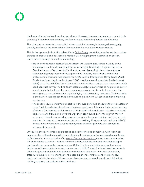the large alternative legal services providers. However, these arrangements are not truly [scalable](https://kirasystems.com/blog/what-is-scalable-machine-learning/); if requirements change, services are required to implement the changes.

The other, more powerful approach, is when machine learning is leveraged to magnify, amplify, and scale the knowledge of human domain or subject matter experts.

This is the approach that Kira takes. Kira's [Quick Study](https://kirasystems.com/how-it-works/quick-study/) capability enables subject matter experts to create machine learning models just by highlighting examples on screen. Users have two ways to use the technology:

- We know that many users of an AI system will want to get started quickly, so we include pre-built models created by our own Legal Knowledge Engineering team. Despite the word "engineering" in their title, members of this team do not have technical degrees; these are the experienced lawyers, accountants and other professionals that are responsible for Kira's Built-In Intelligence. Using Kira's Quick Study interface, they have built over 1,000 machine learning models (called smart fields) that ship with Kira "out of the box" and allow Kira to extract the most commonly used contract terms. The LKE team listens closely to customers to help select built-in smart fields that will get the most usage across our user base to help power the existing use cases, while constantly identifying and evaluating new ones. Their expertise is the built-in intelligence that allows Kira to go to work, without additional training, on day one.
- The second source of domain expertise in the Kira system is of course the Kira customer base. Their knowledge of their own business needs and interests, their understanding of clients' businesses or their own, and their sensitivity to clients' risk tolerances and objectives, will frame and drive the way they apply Kira's power to a given matter or project. They do not need any special machine learning training, and they do not need implementation consultants. As of this writing, Kira users had well over 15,000 of their own unique smart fields deployed on contract projects and processes, all around the world.

Of course, these two broad approaches can sometimes be combined, with technical customization offered alongside human training to bridge gaps (or perceived gaps) to get to final results. Kira avoids this. Our [team of research scientists](https://kirasystems.com/blog/what-is-scalable-machine-learning/) never does customization for any specific customer. Rather, they constantly evaluate new external technologies and create new proprietary approaches. Unlike the less-scalable approach of using implementation consultants for each customer, all of Kira's machine learning enhancements are built right into the core Kira product and become available to all Kira customers, often with minimal or no changes to the user experience. Kira's scientists also follow, and contribute to, the state of the art in machine learning across the world, and bring that evolving expertise directly into Kira products.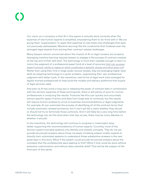Our vision as a company is that AI in this space is actually done correctly when the expertise of real human experts is amplified, empowering them to do more with it. We are giving them "superpowers" to apply that expertise to new tasks and challenges that were not previously addressable. Machine learning lifts the constraints that hindered even the strongest legal experts from solving their contract-related challenges.

Many lawyers remain concerned about the impact of AI on legal careers, but properly leveraging machine learning requires lawyers to engage in the process of contract analysis at the top end of their skill level. The technology is more than capable enough to learn to mimic the judgment of a professional expert (and at a level of accuracy [that can surpass](https://kirasystems.com/science/variations-assessor-agreement-due-diligence/) [expert humans' ability to agree on what constitutes a specific clause and what does not\)](https://kirasystems.com/science/variations-assessor-agreement-due-diligence/). Rather than using their time in large-scale manual reviews, they are leveraging higher-level skills by adapting technology to a given problem, augmenting their own professional judgment with better tools. In the meantime, new forms of legal work have emerged for legally-trained professionals to help build the models and delivery platforms that buyers of legal services need.

And even as AI has come a long way in releasing the power of contract data in combination with the domain expertise of these participants, there is still plenty of work for human professionals in analyzing the results. Products like Kira can quickly and accurately extract specific types of terms and data from large sets of contracts, but the results still require human analysis to arrive at business recommendations or legal judgments. For example, AI can automate the process of identifying all of the contract terms that include automatic renewal provisions, but it can't yet tell a client whether they should or should not try to terminate those contracts. And it will likely be a very long time before the technology can do this (and when that day arrives, there may be many debates on whether it should).

In the meantime, the technology will continue to progress in meaningful ways, better supporting the recommendations of human experts. Currently, most of the domain-expert-trainable systems only identify and classify concepts. They do not yet provide structured answers about those concepts. Enabling subject matter experts to directly train automated systems to understand those substantive answers is the next great leap in this story. What if the system could provide structured answers about the concepts that the professionals were seeking to find? What if that could be done without extensive customization and without data scientist skills? That will be the subject of the final part of this series.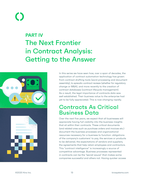## **PART IV** The Next Frontier in Contract Analysis: Getting to the Answer



In this series we have seen how, over a span of decades, the application of contract automation technology has grown: from contract drafting tools (word processing and document assembly), to episodic contract reviews (whether for regulatory change or M&A), and more recently to the creation of contract databases (contract lifecycle management). As a result, the legal importance of contracts data was well established. Their business value to the enterprise had yet to be fully appreciated. This is now changing rapidly.

#### Contracts As Critical Business Data

Over the next five years, we expect that all businesses will appreciate having full visibility into the business insights that sit within their contracts. These critical documents (and related ones such as purchase orders and invoices etc.) document the business processes and organizational resources necessary for a business to function: obligations of the company's customers' to pay, the services or products to be delivered, the expectations of vendors and suppliers, the agreements that help retain employees and contractors. This "contract intelligence" is increasingly a source of competitive advantage. Business processes represented in contracts can be the "secret sauce" that makes some companies successful and others not. Having quicker access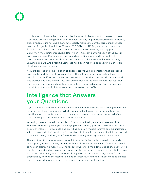to this information can help an enterprise be more nimble and outmaneuver its peers. Contracts are increasingly seen as at the heart of any "digital transformation" initiative, but companies are missing a system to rapidly make sense of this large unpenetrated reserve of organizational data. Current ERP, CRM and HRIS systems and associated BI tools have helped companies better understand their business, but they provide visibility only to existing structured data, which is typically only a fraction of the overall data in a business. Reviewing, analyzing and extracting structured information from text documents like contracts has historically required heavy manual review in a very unsustainable way. As a result, businesses have been resigned to accepting high levels of risk as business-as-usual.

As more professionals have begun to appreciate the valuable insights that are locked up in contract data, they have sought out efficient and powerful ways to release it. With AI tools like Kira, companies can now scan across their business documents and find clauses and data points. They can create machine learning models that represent their unique business needs, without any technical knowledge of AI. And they can pull that data automatically into other enterprise systems via APIs.

### Intelligence that Answers your Questions

If you continue upon this arc, the next step is clear: to accelerate the gleaning of insights directly from those documents. What if you could ask your most pressing business questions to your contracts and get an instant answer - an answer that was derived from the subject matter experts in your organization?

Yesterday, we announced our next leap forward - an intelligence that does just that. This new capability goes beyond identifying and extracting provisions, clauses, and data points, by interpreting this data and providing decision-makers in firms and organizations with the answers to their most pressing questions, instantly. It's fully integrated into our no-code machine learning platform, Kira Quick Study, allowing for easily scalable customization.

The leap that Kira's new answers capability enables is like the leap we all have made in navigating the world using our smartphones. It was a fantastic step forward to be able to hold an electronic map in your hand, but it was still a map. It was up to the user to find the starting and ending points, and figure out the best route between the two. But Google Maps and other navigation assistants changed all that - now we can just ask for the directions by naming the destination, and the best route and the travel time is calculated for us. The need to analyze the map data on our own is greatly reduced.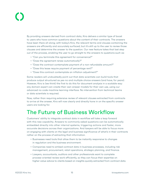By providing answers derived from contract data, Kira delivers a similar type of boost to users who have common questions about the content of their contracts. The answers have been there all along; with today's Kira, the relevant terms and clauses containing the answers are efficiently and accurately surfaced; but it's still up to the user to review those clauses and determine the answer to the question. Our new feature takes that last step out of the process, enabling the user to go straight to the answers to questions such as:

- "Can you terminate this agreement for convenience?"
- "Does the agreement renew automatically?"
- "Does the contract contemplate payment of a non-refundable amount?"
- "Does this lease require payment of percentage rent?"
- "Does this contract contemplate an inflation adjustment?"

Some readers will undoubtedly point out that data scientists can build tools that produce output structured as yes-no and multiple choice answers (and have, for years). However, Kira is (we think) the first to do this for document analysis in a scalable way: any domain expert can create their own answer models for their own use, using our advanced no-code machine learning interface. No intervention from technical teams or data scientists is required.

Now, rather than requiring extensive review of relevant clauses extracted from contracts to arrive at the answer, Kira will now clearly and directly hone in on the specific answer users are looking for.

#### The Future of Business Workflow

Customers' ability to integrate contract data in workflow will take a leap forward with this new capability. Answers to commonly asked questions can be automatically embedded directly into other internal systems, triggering actions and faster, more accurate decisions across their organizations. And lawyers will be able to focus more on engaging with clients on the legal and business significance of what's in their contracts rather on the process of extracting that information.

- Businesses need tools that allow them to be instantly responsive to changes in regulation and the business environment.
- Companies need to embed contract data in business processes, including risk management, procurement, retail operations, strategic planning, and finance.
- Lawyers, accountants, auditors and other professionals want to complete process-oriented review work efficiently, so they can focus their expertise on higher-value advice to clients based on insights quickly extracted from contract data.